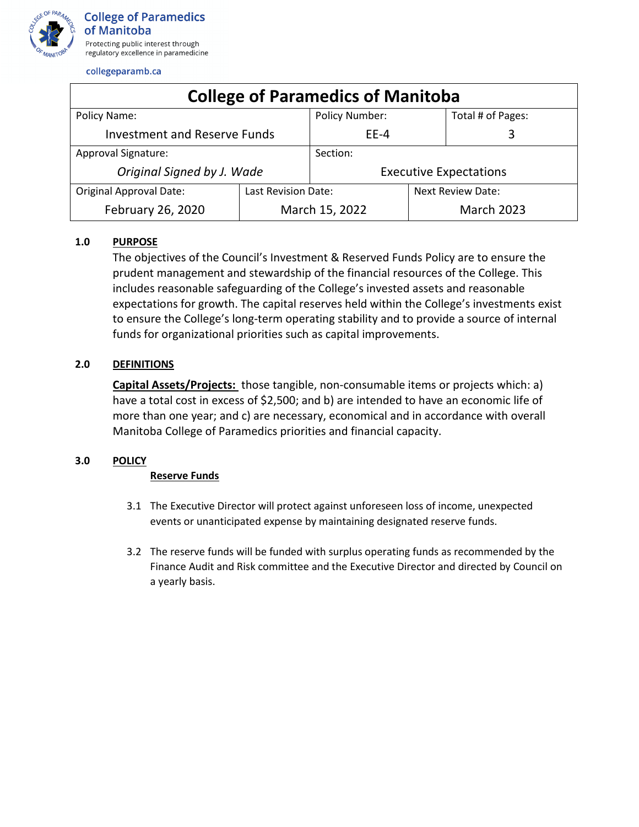

collegeparamb.ca

| <b>College of Paramedics of Manitoba</b> |                     |                               |                   |                          |  |  |
|------------------------------------------|---------------------|-------------------------------|-------------------|--------------------------|--|--|
| Policy Name:                             |                     | Policy Number:                |                   | Total # of Pages:        |  |  |
| <b>Investment and Reserve Funds</b>      |                     | $FF-4$                        |                   | 3                        |  |  |
| <b>Approval Signature:</b>               |                     | Section:                      |                   |                          |  |  |
| Original Signed by J. Wade               |                     | <b>Executive Expectations</b> |                   |                          |  |  |
| <b>Original Approval Date:</b>           | Last Revision Date: |                               |                   | <b>Next Review Date:</b> |  |  |
| February 26, 2020                        | March 15, 2022      |                               | <b>March 2023</b> |                          |  |  |

# **1.0 PURPOSE**

The objectives of the Council's Investment & Reserved Funds Policy are to ensure the prudent management and stewardship of the financial resources of the College. This includes reasonable safeguarding of the College's invested assets and reasonable expectations for growth. The capital reserves held within the College's investments exist to ensure the College's long-term operating stability and to provide a source of internal funds for organizational priorities such as capital improvements.

# **2.0 DEFINITIONS**

**Capital Assets/Projects:** those tangible, non-consumable items or projects which: a) have a total cost in excess of \$2,500; and b) are intended to have an economic life of more than one year; and c) are necessary, economical and in accordance with overall Manitoba College of Paramedics priorities and financial capacity.

### **3.0 POLICY**

### **Reserve Funds**

- 3.1 The Executive Director will protect against unforeseen loss of income, unexpected events or unanticipated expense by maintaining designated reserve funds.
- 3.2 The reserve funds will be funded with surplus operating funds as recommended by the Finance Audit and Risk committee and the Executive Director and directed by Council on a yearly basis.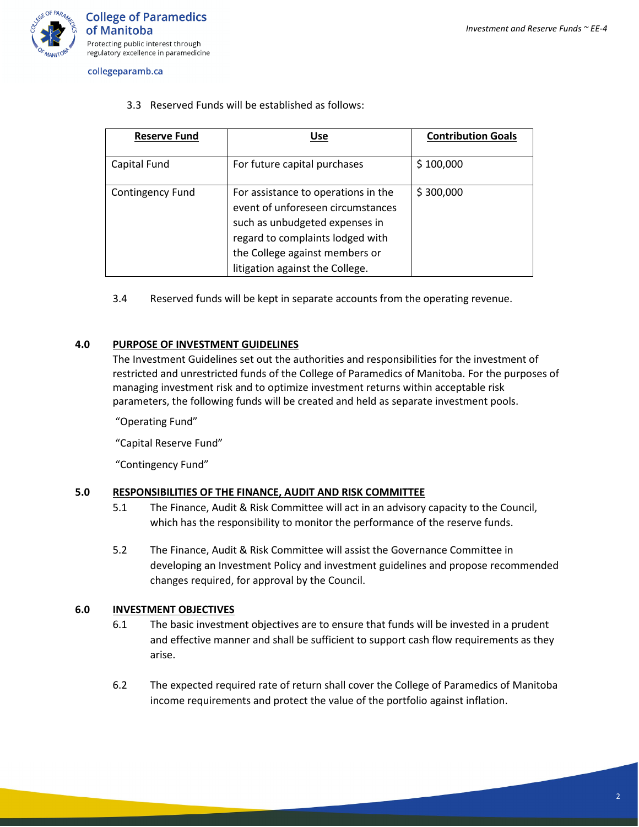

**College of Paramedics** of Manitoba Protecting public interest through regulatory excellence in paramedicine

collegeparamb.ca

3.3 Reserved Funds will be established as follows:

| <b>Reserve Fund</b>     | Use                                                                                                                                                                                                                 | <b>Contribution Goals</b> |
|-------------------------|---------------------------------------------------------------------------------------------------------------------------------------------------------------------------------------------------------------------|---------------------------|
| Capital Fund            | For future capital purchases                                                                                                                                                                                        | \$100,000                 |
| <b>Contingency Fund</b> | For assistance to operations in the<br>event of unforeseen circumstances<br>such as unbudgeted expenses in<br>regard to complaints lodged with<br>the College against members or<br>litigation against the College. | \$300,000                 |

3.4 Reserved funds will be kept in separate accounts from the operating revenue.

# **4.0 PURPOSE OF INVESTMENT GUIDELINES**

The Investment Guidelines set out the authorities and responsibilities for the investment of restricted and unrestricted funds of the College of Paramedics of Manitoba. For the purposes of managing investment risk and to optimize investment returns within acceptable risk parameters, the following funds will be created and held as separate investment pools.

"Operating Fund"

"Capital Reserve Fund"

"Contingency Fund"

### **5.0 RESPONSIBILITIES OF THE FINANCE, AUDIT AND RISK COMMITTEE**

- 5.1 The Finance, Audit & Risk Committee will act in an advisory capacity to the Council, which has the responsibility to monitor the performance of the reserve funds.
- 5.2 The Finance, Audit & Risk Committee will assist the Governance Committee in developing an Investment Policy and investment guidelines and propose recommended changes required, for approval by the Council.

### **6.0 INVESTMENT OBJECTIVES**

- 6.1 The basic investment objectives are to ensure that funds will be invested in a prudent and effective manner and shall be sufficient to support cash flow requirements as they arise.
- 6.2 The expected required rate of return shall cover the College of Paramedics of Manitoba income requirements and protect the value of the portfolio against inflation.